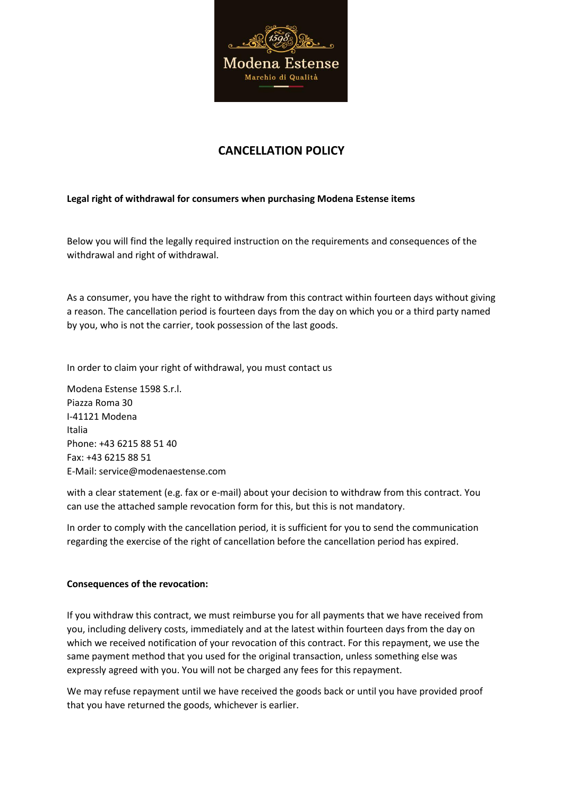

# **CANCELLATION POLICY**

## **Legal right of withdrawal for consumers when purchasing Modena Estense items**

Below you will find the legally required instruction on the requirements and consequences of the withdrawal and right of withdrawal.

As a consumer, you have the right to withdraw from this contract within fourteen days without giving a reason. The cancellation period is fourteen days from the day on which you or a third party named by you, who is not the carrier, took possession of the last goods.

In order to claim your right of withdrawal, you must contact us

Modena Estense 1598 S.r.l. Piazza Roma 30 I-41121 Modena Italia Phone: +43 6215 88 51 40 Fax: +43 6215 88 51 E-Mail: service@modenaestense.com

with a clear statement (e.g. fax or e-mail) about your decision to withdraw from this contract. You can use the attached sample revocation form for this, but this is not mandatory.

In order to comply with the cancellation period, it is sufficient for you to send the communication regarding the exercise of the right of cancellation before the cancellation period has expired.

#### **Consequences of the revocation:**

If you withdraw this contract, we must reimburse you for all payments that we have received from you, including delivery costs, immediately and at the latest within fourteen days from the day on which we received notification of your revocation of this contract. For this repayment, we use the same payment method that you used for the original transaction, unless something else was expressly agreed with you. You will not be charged any fees for this repayment.

We may refuse repayment until we have received the goods back or until you have provided proof that you have returned the goods, whichever is earlier.